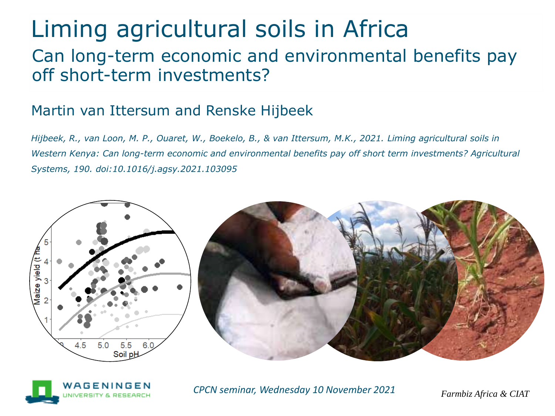# Liming agricultural soils in Africa

#### Can long-term economic and environmental benefits pay off short-term investments?

#### Martin van Ittersum and Renske Hijbeek

*Hijbeek, R., van Loon, M. P., Ouaret, W., Boekelo, B., & van Ittersum, M.K., 2021. Liming agricultural soils in Western Kenya: Can long-term economic and environmental benefits pay off short term investments? Agricultural Systems, 190. doi:10.1016/j.agsy.2021.103095*







*Farmbiz Africa & CIAT CPCN seminar, Wednesday 10 November 2021*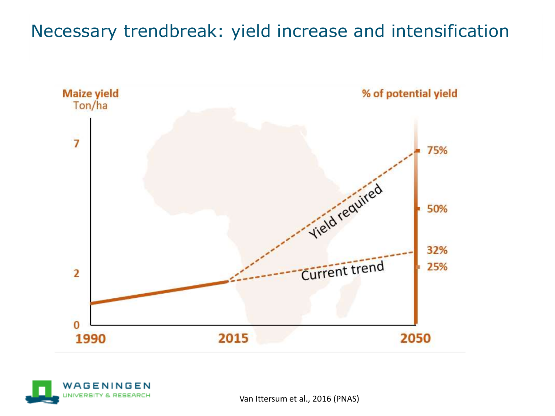### Necessary trendbreak: yield increase and intensification





Van Ittersum et al., 2016 (PNAS)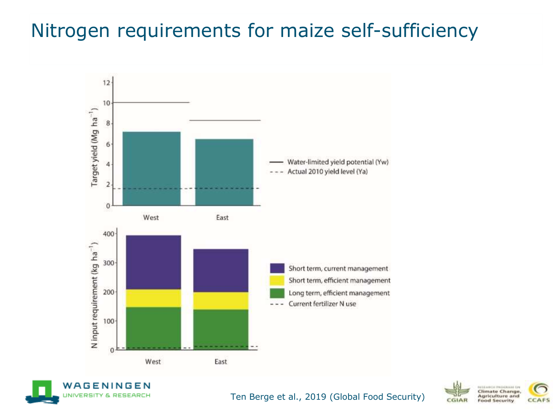### Nitrogen requirements for maize self-sufficiency







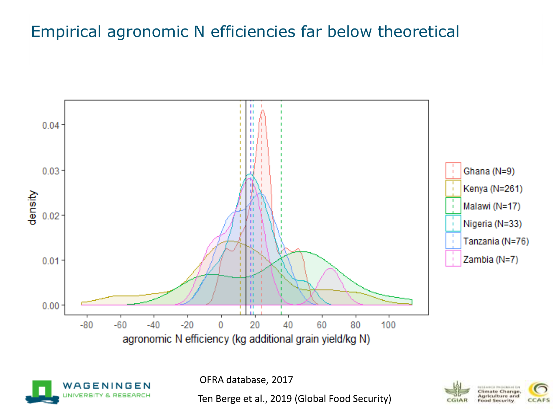#### Empirical agronomic N efficiencies far below theoretical



WAGENINGEN

OFRA database, 2017

Ten Berge et al., 2019 (Global Food Security)

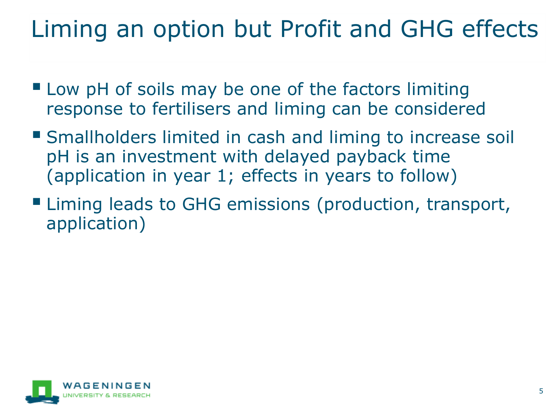# Liming an option but Profit and GHG effects

- Low pH of soils may be one of the factors limiting response to fertilisers and liming can be considered
- Smallholders limited in cash and liming to increase soil pH is an investment with delayed payback time (application in year 1; effects in years to follow)
- Liming leads to GHG emissions (production, transport, application)

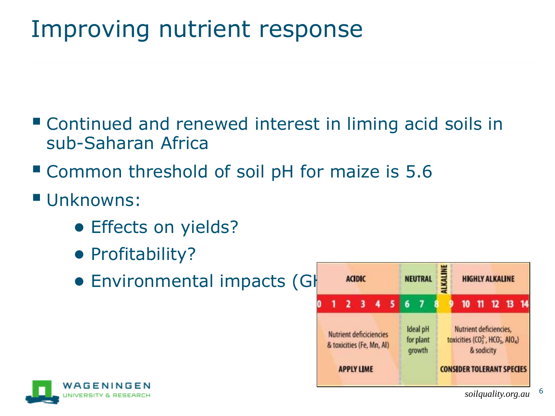# Improving nutrient response

- Continued and renewed interest in liming acid soils in sub-Saharan Africa
- Common threshold of soil pH for maize is 5.6
- Unknowns:
	- **Effects on yields?**
	- Profitability?
	- Environmental impacts (GHG ACIDIC ENEUTRAL





6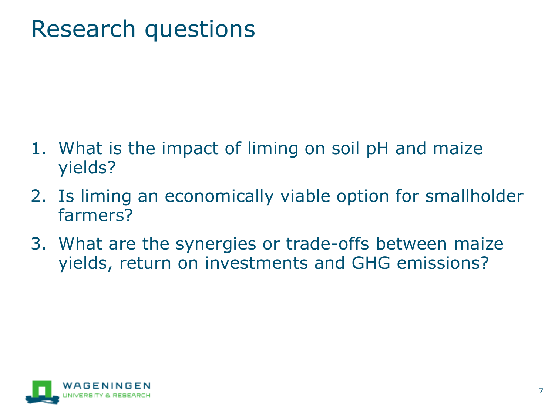# Research questions

- 1. What is the impact of liming on soil pH and maize yields?
- 2. Is liming an economically viable option for smallholder farmers?
- 3. What are the synergies or trade-offs between maize yields, return on investments and GHG emissions?

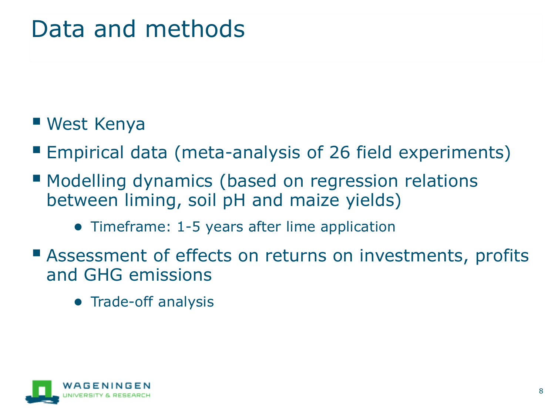# Data and methods

### ■ West Kenya

- Empirical data (meta-analysis of 26 field experiments)
- Modelling dynamics (based on regression relations between liming, soil pH and maize yields)
	- Timeframe: 1-5 years after lime application
- Assessment of effects on returns on investments, profits and GHG emissions
	- Trade-off analysis

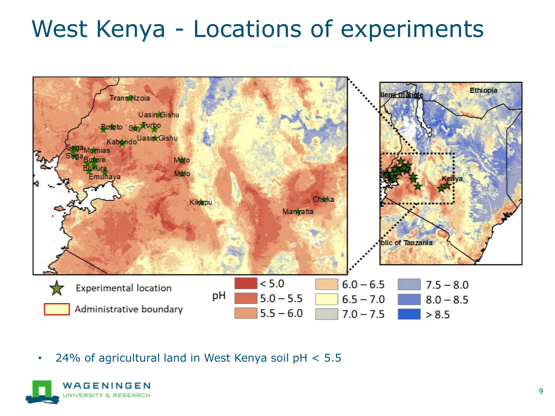# West Kenya - Locations of experiments



• 24% of agricultural land in West Kenya soil pH < 5.5

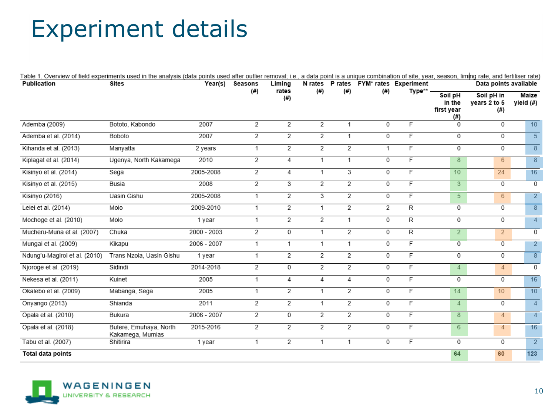# Experiment details

| Table 1. Overview of field experiments used in the analysis (data points used after outlier removal; i.e., a data point is a unique combination of site, year, season, liming rate, and fertiliser rate) |                                            |               |                |                |                |                |      |                                       |                                        |                                   |                    |  |
|----------------------------------------------------------------------------------------------------------------------------------------------------------------------------------------------------------|--------------------------------------------|---------------|----------------|----------------|----------------|----------------|------|---------------------------------------|----------------------------------------|-----------------------------------|--------------------|--|
| Publication                                                                                                                                                                                              | <b>Sites</b>                               | Year(s)       | Seasons        | Liming         |                |                |      | N rates P rates FYM* rates Experiment | Data points available                  |                                   |                    |  |
|                                                                                                                                                                                                          |                                            |               | (#)            | rates<br>(# )  | (#)            | (#)            | (# ) | Type**                                | Soil pH<br>in the<br>first year<br>(#) | Soil pH in<br>years 2 to 5<br>(#) | Maize<br>yield (#) |  |
| Ademba (2009)                                                                                                                                                                                            | Bototo, Kabondo                            | 2007          | 2              | 2              | 2              | 1              | 0    | F                                     | 0                                      | 0                                 | 10                 |  |
| Ademba et al. (2014)                                                                                                                                                                                     | Boboto                                     | 2007          | 2              | 2              | $\overline{2}$ | 1              | 0    | $\overline{F}$                        | 0                                      | 0                                 | $\overline{5}$     |  |
| Kihanda et al. (2013)                                                                                                                                                                                    | Manyatta                                   | 2 years       | 1.             | 2              | $\overline{2}$ | $\overline{2}$ | 1    | $\overline{F}$                        | 0                                      | 0                                 | 8                  |  |
| Kiplagat et al. (2014)                                                                                                                                                                                   | Ugenya, North Kakamega                     | 2010          | 2              | 4              | 1              | 1              | 0    | F                                     | 8                                      | 6                                 | 8                  |  |
| Kisinyo et al. (2014)                                                                                                                                                                                    | Sega                                       | 2005-2008     | 2              | 4              | 1              | 3              | 0    | F                                     | 10 <sup>°</sup>                        | 24                                | 16                 |  |
| Kisinyo et al. (2015)                                                                                                                                                                                    | Busia                                      | 2008          | 2              | 3              | 2              | $\overline{2}$ | 0    | $\overline{F}$                        | 3                                      | $\Omega$                          | $\overline{0}$     |  |
| Kisinyo (2016)                                                                                                                                                                                           | Uasin Gishu                                | 2005-2008     | 1.             | 2              | 3              | 2              | 0    | F                                     | 5 <sup>5</sup>                         | 6                                 | $\overline{2}$     |  |
| Lelei et al. (2014)                                                                                                                                                                                      | Molo                                       | 2009-2010     | 1.             | 2              | 1              | 2              | 2    | R                                     | 0                                      | 0                                 | 8                  |  |
| Mochoge et al. (2010)                                                                                                                                                                                    | Molo                                       | 1 year        | 1.             | 2              | 2              | 1              | 0    | R                                     | 0                                      | 0                                 | $\overline{4}$     |  |
| Mucheru-Muna et al. (2007)                                                                                                                                                                               | Chuka                                      | $2000 - 2003$ | $\overline{2}$ | 0              | 1              | 2              | 0    | R                                     | $\overline{2}$                         | $\overline{2}$                    | 0                  |  |
| Mungai et al. (2009)                                                                                                                                                                                     | Kikapu                                     | 2006 - 2007   | 1              | $\mathbf{1}$   | 1              | 1              | 0    | F                                     | $\overline{0}$                         | $\overline{0}$                    | $\overline{2}$     |  |
| Ndung'u-Magiroi et al. (2010)                                                                                                                                                                            | Trans Nzoia, Uasin Gishu                   | 1 year        | 1              | $\overline{2}$ | 2              | $\overline{2}$ | 0    | F                                     | 0                                      | 0                                 | 8                  |  |
| Njoroge et al. (2019)                                                                                                                                                                                    | Sidindi                                    | 2014-2018     | 2              | 0              | 2              | $\overline{2}$ | 0    | $\overline{F}$                        | $\overline{4}$                         | $\overline{4}$                    | 0                  |  |
| Nekesa et al. (2011)                                                                                                                                                                                     | Kuinet                                     | 2005          | 1.             | $\overline{4}$ | 4              | 4              | 0    | F                                     | 0                                      | 0                                 | 16                 |  |
| Okalebo et al. (2009)                                                                                                                                                                                    | Mabanga, Sega                              | 2005          | 1.             | $\overline{2}$ | 1              | $\overline{2}$ | 0    | F                                     | 14                                     | 10 <sup>1</sup>                   | 10                 |  |
| Onyango (2013)                                                                                                                                                                                           | Shianda                                    | 2011          | $\overline{2}$ | $\overline{2}$ | 1              | $\overline{2}$ | 0    | F                                     | 4                                      | 0                                 | $\overline{4}$     |  |
| Opala et al. (2010)                                                                                                                                                                                      | Bukura                                     | 2006 - 2007   | 2              | 0              | 2              | $\overline{2}$ | 0    | F                                     | 8                                      | $\overline{4}$                    | $\overline{4}$     |  |
| Opala et al. (2018)                                                                                                                                                                                      | Butere, Emuhaya, North<br>Kakamega, Mumias | 2015-2016     | 2              | 2              | 2              | 2              | 0    | F                                     | 6                                      | $\overline{4}$                    | 16                 |  |
| Tabu et al. (2007)                                                                                                                                                                                       | Shitirira                                  | 1 year        | 1.             | 2              | 1              | 1              | 0    | F                                     | 0                                      | $\mathbf 0$                       | $\overline{2}$     |  |
| Total data points                                                                                                                                                                                        |                                            |               |                |                |                |                |      |                                       | 64                                     | 60                                | 123                |  |

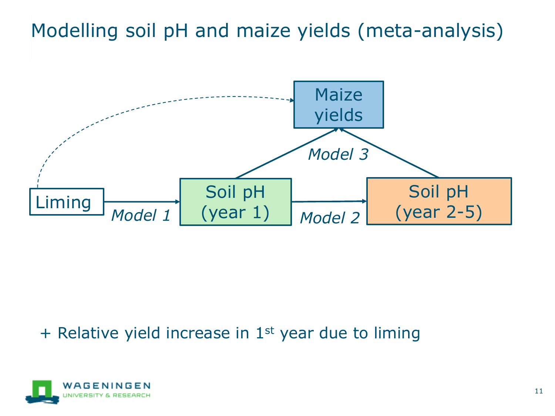Modelling soil pH and maize yields (meta-analysis)



 $+$  Relative yield increase in 1<sup>st</sup> year due to liming

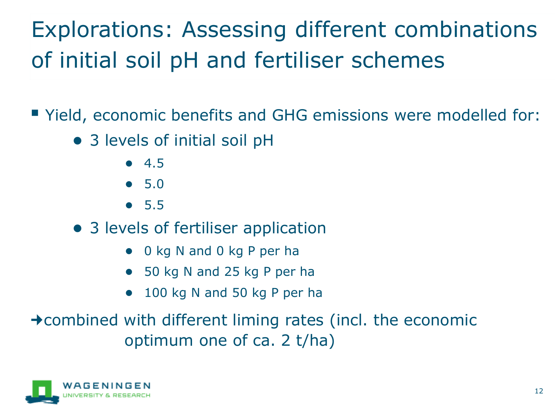# Explorations: Assessing different combinations of initial soil pH and fertiliser schemes

■ Yield, economic benefits and GHG emissions were modelled for:

- 3 levels of initial soil pH
	- 4.5
	- 5.0
	- 5.5
- 3 levels of fertiliser application
	- 0 kg N and 0 kg P per ha
	- 50 kg N and 25 kg P per ha
	- 100 kg N and 50 kg P per ha

 $\rightarrow$  combined with different liming rates (incl. the economic optimum one of ca. 2 t/ha)

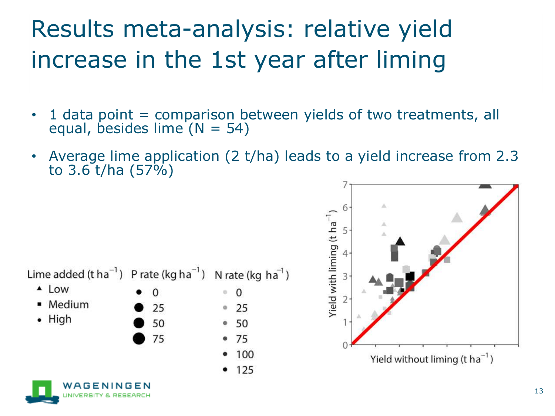# Results meta-analysis: relative yield increase in the 1st year after liming

- $\cdot$  1 data point = comparison between yields of two treatments, all equal, besides lime  $(N = 54)$
- Average lime application (2 t/ha) leads to a yield increase from 2.3 to 3.6 t/ha (57%)

Lime added (t ha<sup>-1</sup>) P rate (kg ha<sup>-1</sup>) N rate (kg ha<sup>-1</sup>)

75

- $\triangle$  Low
- Medium
- High



100

 $• 125$ 



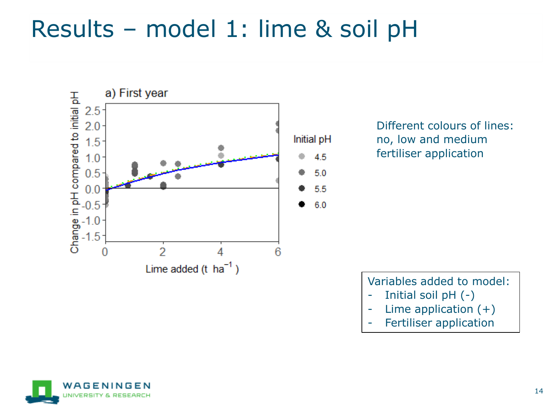# Results – model 1: lime & soil pH



Different colours of lines: no, low and medium fertiliser application

Variables added to model:

- Initial soil pH (-)
- Lime application (+)
- Fertiliser application

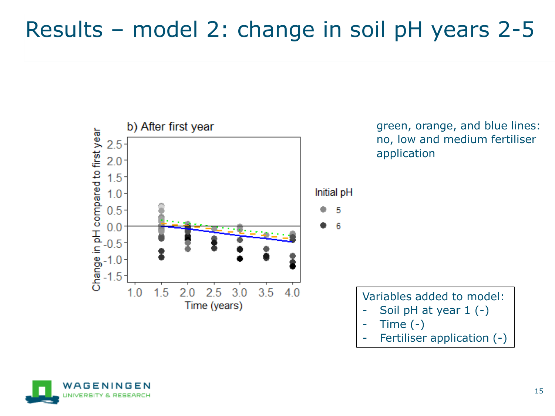### Results – model 2: change in soil pH years 2-5



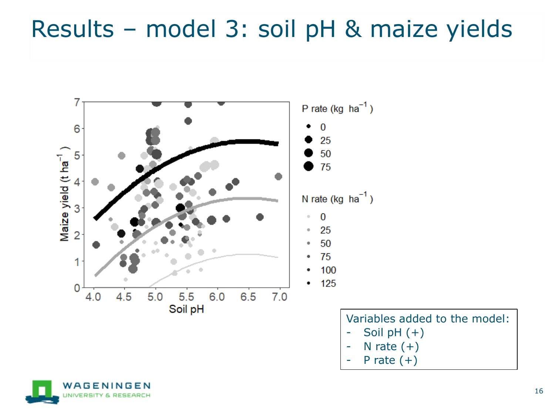# Results – model 3: soil pH & maize yields



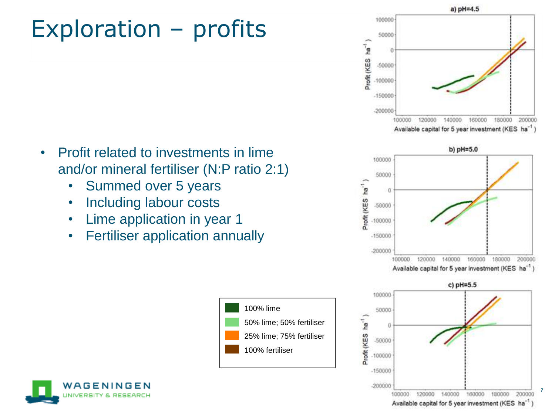# Exploration – profits

- Profit related to investments in lime and/or mineral fertiliser (N:P ratio 2:1)
	- Summed over 5 years
	- Including labour costs
	- Lime application in year 1
	- Fertiliser application annually





a) pH=4.5

100000





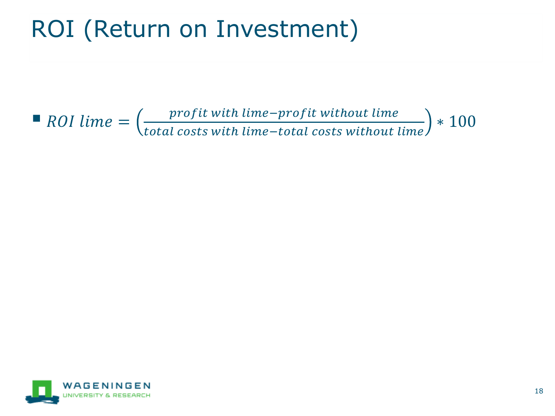# ROI (Return on Investment)

 $\blacksquare$  ROI lime  $=\left(\frac{profit\ with\ lime-profit\ without\ line}{total\ costs\ with\ lime-total\ costs\ with\ out}\right)$ total costs with lime–total costs without lime ∗ 100

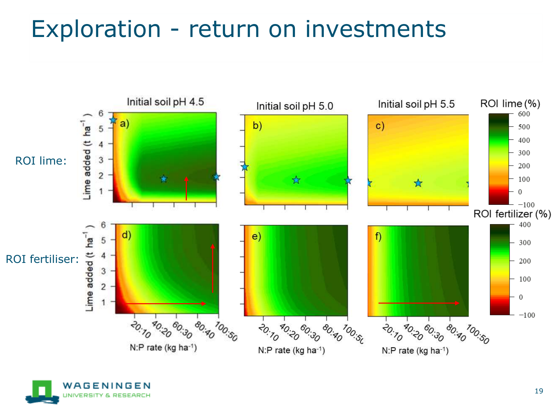# Exploration - return on investments



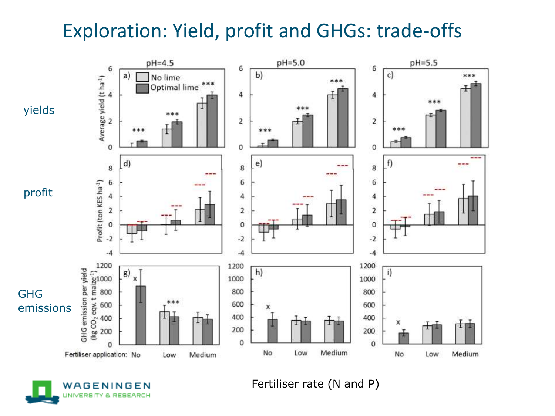### Exploration: Yield, profit and GHGs: trade-offs





Fertiliser rate (N and P)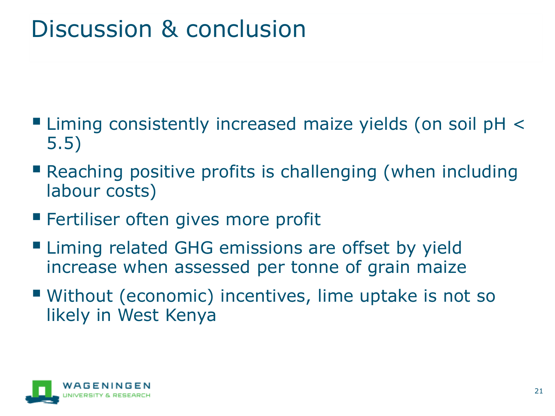# Discussion & conclusion

- Liming consistently increased maize yields (on soil pH < 5.5)
- **Reaching positive profits is challenging (when including** labour costs)
- **E** Fertiliser often gives more profit
- Liming related GHG emissions are offset by yield increase when assessed per tonne of grain maize
- Without (economic) incentives, lime uptake is not so likely in West Kenya

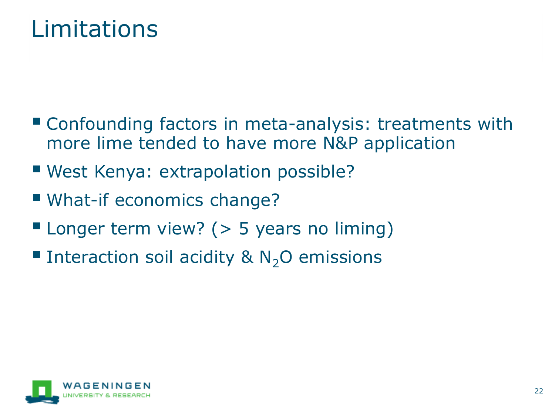## Limitations

- Confounding factors in meta-analysis: treatments with more lime tended to have more N&P application
- West Kenya: extrapolation possible?
- What-if economics change?
- **E** Longer term view? ( $>$  5 years no liming)
- **Example 1** Interaction soil acidity &  $N_2O$  emissions